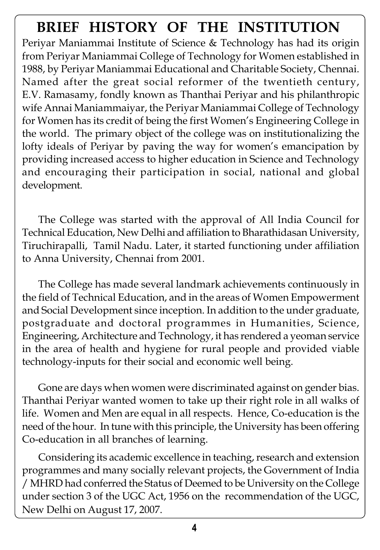## **BRIEF HISTORY OF THE INSTITUTION**

Periyar Maniammai Institute of Science & Technology has had its origin from Periyar Maniammai College of Technology for Women established in 1988, by Periyar Maniammai Educational and Charitable Society, Chennai. Named after the great social reformer of the twentieth century, E.V. Ramasamy, fondly known as Thanthai Periyar and his philanthropic wife Annai Maniammaiyar, the Periyar Maniammai College of Technology for Women has its credit of being the first Women's Engineering College in the world. The primary object of the college was on institutionalizing the lofty ideals of Periyar by paving the way for women's emancipation by providing increased access to higher education in Science and Technology and encouraging their participation in social, national and global development.

The College was started with the approval of All India Council for Technical Education, New Delhi and affiliation to Bharathidasan University, Tiruchirapalli, Tamil Nadu. Later, it started functioning under affiliation to Anna University, Chennai from 2001.

The College has made several landmark achievements continuously in the field of Technical Education, and in the areas of Women Empowerment and Social Development since inception. In addition to the under graduate, postgraduate and doctoral programmes in Humanities, Science, Engineering, Architecture and Technology, it has rendered a yeoman service in the area of health and hygiene for rural people and provided viable technology-inputs for their social and economic well being.

Gone are days when women were discriminated against on gender bias. Thanthai Periyar wanted women to take up their right role in all walks of life. Women and Men are equal in all respects. Hence, Co-education is the need of the hour. In tune with this principle, the University has been offering Co-education in all branches of learning.

Considering its academic excellence in teaching, research and extension programmes and many socially relevant projects, the Government of India / MHRD had conferred the Status of Deemed to be University on the College under section 3 of the UGC Act, 1956 on the recommendation of the UGC, New Delhi on August 17, 2007.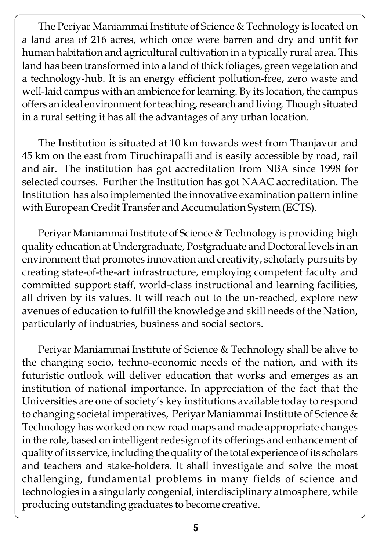The Periyar Maniammai Institute of Science & Technology is located on a land area of 216 acres, which once were barren and dry and unfit for human habitation and agricultural cultivation in a typically rural area. This land has been transformed into a land of thick foliages, green vegetation and a technology-hub. It is an energy efficient pollution-free, zero waste and well-laid campus with an ambience for learning. By its location, the campus offers an ideal environment for teaching, research and living. Though situated in a rural setting it has all the advantages of any urban location.

The Institution is situated at 10 km towards west from Thanjavur and 45 km on the east from Tiruchirapalli and is easily accessible by road, rail and air. The institution has got accreditation from NBA since 1998 for selected courses. Further the Institution has got NAAC accreditation. The Institution has also implemented the innovative examination pattern inline with European Credit Transfer and Accumulation System (ECTS).

Periyar Maniammai Institute of Science & Technology is providing high quality education at Undergraduate, Postgraduate and Doctoral levels in an environment that promotes innovation and creativity, scholarly pursuits by creating state-of-the-art infrastructure, employing competent faculty and committed support staff, world-class instructional and learning facilities, all driven by its values. It will reach out to the un-reached, explore new avenues of education to fulfill the knowledge and skill needs of the Nation, particularly of industries, business and social sectors.

Periyar Maniammai Institute of Science & Technology shall be alive to the changing socio, techno-economic needs of the nation, and with its futuristic outlook will deliver education that works and emerges as an institution of national importance. In appreciation of the fact that the Universities are one of society's key institutions available today to respond to changing societal imperatives, Periyar Maniammai Institute of Science & Technology has worked on new road maps and made appropriate changes in the role, based on intelligent redesign of its offerings and enhancement of quality of its service, including the quality of the total experience of its scholars and teachers and stake-holders. It shall investigate and solve the most challenging, fundamental problems in many fields of science and technologies in a singularly congenial, interdisciplinary atmosphere, while producing outstanding graduates to become creative.